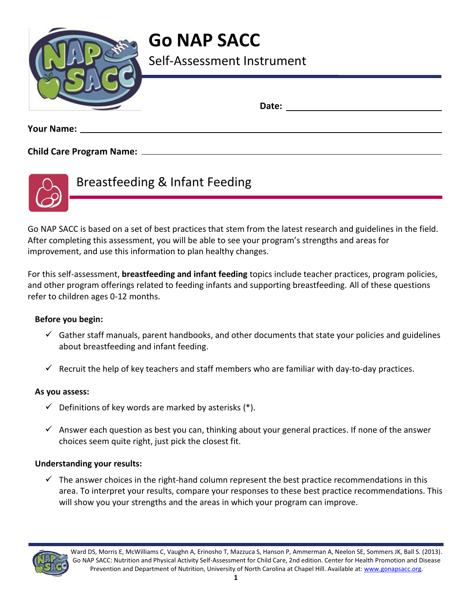

# **Go NAP SACC**

Self-Assessment Instrument

**Date:** 

**Your Name:** 

**Child Care Program Name:** 



Breastfeeding & Infant Feeding

Go NAP SACC is based on a set of best practices that stem from the latest research and guidelines in the field. After completing this assessment, you will be able to see your program's strengths and areas for improvement, and use this information to plan healthy changes.

For this self-assessment, **breastfeeding and infant feeding** topics include teacher practices, program policies, and other program offerings related to feeding infants and supporting breastfeeding. All of these questions refer to children ages 0-12 months.

#### **Before you begin:**

- $\checkmark$  Gather staff manuals, parent handbooks, and other documents that state your policies and guidelines about breastfeeding and infant feeding.
- $\checkmark$  Recruit the help of key teachers and staff members who are familiar with day-to-day practices.

#### **As you assess:**

- $\checkmark$  Definitions of key words are marked by asterisks (\*).
- $\checkmark$  Answer each question as best you can, thinking about your general practices. If none of the answer choices seem quite right, just pick the closest fit.

#### **Understanding your results:**

 $\checkmark$  The answer choices in the right-hand column represent the best practice recommendations in this area. To interpret your results, compare your responses to these best practice recommendations. This will show you your strengths and the areas in which your program can improve.

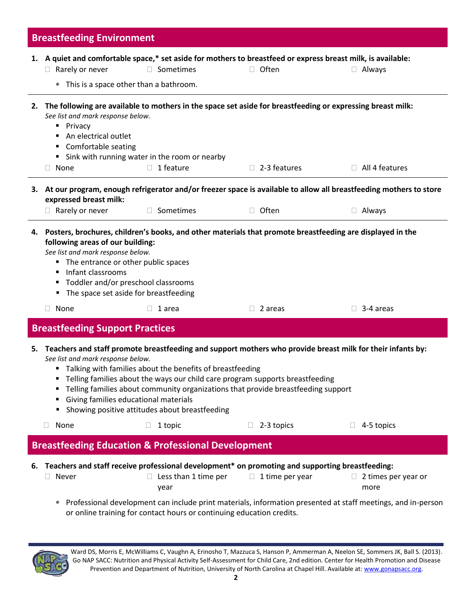|    | <b>Breastfeeding Environment</b>                                                                                                                                                                                                                                                                                                                                                                                                                                                   |                                                                        |                                                                                                                                      |                                                                                                                                       |  |  |  |
|----|------------------------------------------------------------------------------------------------------------------------------------------------------------------------------------------------------------------------------------------------------------------------------------------------------------------------------------------------------------------------------------------------------------------------------------------------------------------------------------|------------------------------------------------------------------------|--------------------------------------------------------------------------------------------------------------------------------------|---------------------------------------------------------------------------------------------------------------------------------------|--|--|--|
|    | Rarely or never<br>$\Box$<br>* This is a space other than a bathroom.                                                                                                                                                                                                                                                                                                                                                                                                              | □ Sometimes                                                            | 1. A quiet and comfortable space,* set aside for mothers to breastfeed or express breast milk, is available:<br>$\Box$ Often         | $\Box$ Always                                                                                                                         |  |  |  |
|    | See list and mark response below.<br>• Privacy<br>An electrical outlet<br>Comfortable seating<br>None<br>$\Box$                                                                                                                                                                                                                                                                                                                                                                    | " Sink with running water in the room or nearby<br>1 feature<br>$\Box$ | 2. The following are available to mothers in the space set aside for breastfeeding or expressing breast milk:<br>$\Box$ 2-3 features | $\Box$ All 4 features                                                                                                                 |  |  |  |
|    | expressed breast milk:<br>$\Box$ Rarely or never                                                                                                                                                                                                                                                                                                                                                                                                                                   | Sometimes<br>П.                                                        | $\Box$ Often                                                                                                                         | 3. At our program, enough refrigerator and/or freezer space is available to allow all breastfeeding mothers to store<br>$\Box$ Always |  |  |  |
|    | 4. Posters, brochures, children's books, and other materials that promote breastfeeding are displayed in the<br>following areas of our building:<br>See list and mark response below.<br>" The entrance or other public spaces<br>Infant classrooms<br>" Toddler and/or preschool classrooms<br>The space set aside for breastfeeding                                                                                                                                              |                                                                        |                                                                                                                                      |                                                                                                                                       |  |  |  |
|    | None<br>$\Box$                                                                                                                                                                                                                                                                                                                                                                                                                                                                     | 1 area                                                                 | $\Box$ 2 areas                                                                                                                       | $\Box$ 3-4 areas                                                                                                                      |  |  |  |
|    | <b>Breastfeeding Support Practices</b>                                                                                                                                                                                                                                                                                                                                                                                                                                             |                                                                        |                                                                                                                                      |                                                                                                                                       |  |  |  |
|    | 5. Teachers and staff promote breastfeeding and support mothers who provide breast milk for their infants by:<br>See list and mark response below.<br>" Talking with families about the benefits of breastfeeding<br>Telling families about the ways our child care program supports breastfeeding<br>Telling families about community organizations that provide breastfeeding support<br>Giving families educational materials<br>Showing positive attitudes about breastfeeding |                                                                        |                                                                                                                                      |                                                                                                                                       |  |  |  |
|    | None<br>$\Box$                                                                                                                                                                                                                                                                                                                                                                                                                                                                     | 1 topic                                                                | 2-3 topics                                                                                                                           | 4-5 topics                                                                                                                            |  |  |  |
|    |                                                                                                                                                                                                                                                                                                                                                                                                                                                                                    | <b>Breastfeeding Education &amp; Professional Development</b>          |                                                                                                                                      |                                                                                                                                       |  |  |  |
| 6. | Never                                                                                                                                                                                                                                                                                                                                                                                                                                                                              | Less than 1 time per<br>year                                           | Teachers and staff receive professional development* on promoting and supporting breastfeeding:<br>1 time per year<br>$\Box$         | $\Box$ 2 times per year or<br>more                                                                                                    |  |  |  |
|    | Professional development can include print materials, information presented at staff meetings, and in-person<br>$\ast$<br>or online training for contact hours or continuing education credits.                                                                                                                                                                                                                                                                                    |                                                                        |                                                                                                                                      |                                                                                                                                       |  |  |  |

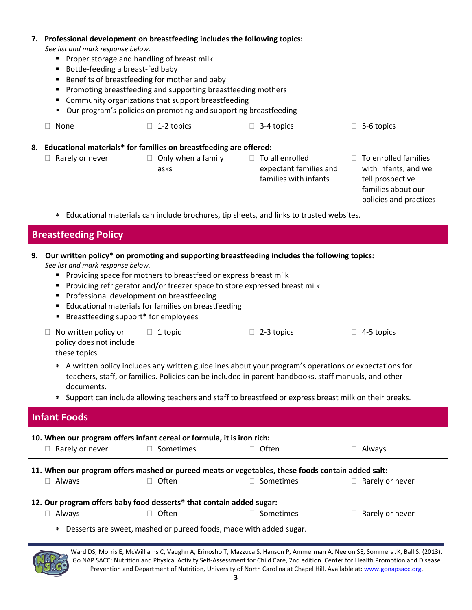#### **7. Professional development on breastfeeding includes the following topics:** *See list and mark response below.* **Proper storage and handling of breast milk** ■ Bottle-feeding a breast-fed baby **Benefits of breastfeeding for mother and baby Promoting breastfeeding and supporting breastfeeding mothers Community organizations that support breastfeeding**  Our program's policies on promoting and supporting breastfeeding  $\Box$  None  $\Box$  1-2 topics  $\Box$  3-4 topics  $\Box$  5-6 topics **8. Educational materials\* for families on breastfeeding are offered:**   $\Box$  Rarely or never  $\Box$  Only when a family asks  $\Box$  To all enrolled expectant families and families with infants  $\Box$  To enrolled families with infants, and we tell prospective families about our policies and practices Educational materials can include brochures, tip sheets, and links to trusted websites. **Breastfeeding Policy 9. Our written policy\* on promoting and supporting breastfeeding includes the following topics:**  *See list and mark response below.* **Providing space for mothers to breastfeed or express breast milk Providing refrigerator and/or freezer space to store expressed breast milk Professional development on breastfeeding Educational materials for families on breastfeeding Breastfeeding support\* for employees**  $\Box$  No written policy or policy does not include these topics  $\Box$  1 topic  $\Box$  2-3 topics  $\Box$  4-5 topics A written policy includes any written guidelines about your program's operations or expectations for teachers, staff, or families. Policies can be included in parent handbooks, staff manuals, and other documents. Support can include allowing teachers and staff to breastfeed or express breast milk on their breaks. **Infant Foods 10. When our program offers infant cereal or formula, it is iron rich:** □ Rarely or never □ Sometimes □ Often □ Always **11. When our program offers mashed or pureed meats or vegetables, these foods contain added salt:**  $\Box$  Always  $\Box$  Often  $\Box$  Sometimes  $\Box$  Rarely or never **12. Our program offers baby food desserts\* that contain added sugar:**   $\Box$  Always  $\Box$  Often  $\Box$  Sometimes  $\Box$  Rarely or never Desserts are sweet, mashed or pureed foods, made with added sugar.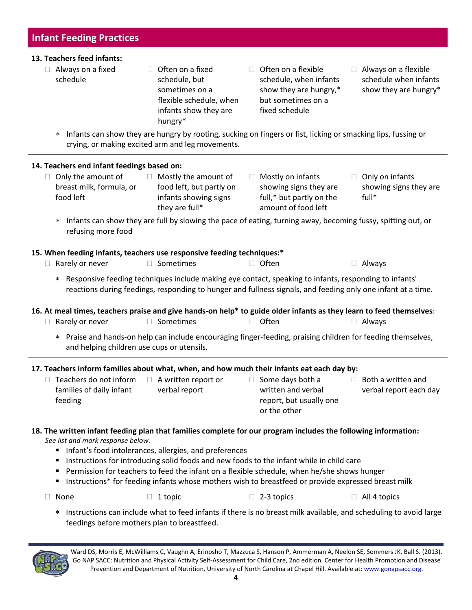#### **13. Teachers feed infants:**

- $\Box$  Always on a fixed schedule
	- $\Box$  Often on a fixed schedule, but sometimes on a flexible schedule, when infants show they are hungry\*
- $\Box$  Often on a flexible schedule, when infants show they are hungry,\* but sometimes on a fixed schedule
- Always on a flexible schedule when infants show they are hungry\*
- Infants can show they are hungry by rooting, sucking on fingers or fist, licking or smacking lips, fussing or crying, or making excited arm and leg movements.

| Only the amount of<br>$\Box$<br>breast milk, formula, or<br>food left | Mostly the amount of<br>$\Box$<br>food left, but partly on<br>infants showing signs<br>they are full*                                                                                                                                                                                                                                                                                                                                                                                                                                                                                                                                                                                                                                                                                                                                                                                                                                                                                                                                                                                                                                                                                                                                                                                                                                                                                                                                                                                                                                                                                                                                 | Mostly on infants<br>$\Box$<br>showing signs they are<br>full,* but partly on the<br>amount of food left | Only on infants<br>$\Box$<br>showing signs they are<br>full* |
|-----------------------------------------------------------------------|---------------------------------------------------------------------------------------------------------------------------------------------------------------------------------------------------------------------------------------------------------------------------------------------------------------------------------------------------------------------------------------------------------------------------------------------------------------------------------------------------------------------------------------------------------------------------------------------------------------------------------------------------------------------------------------------------------------------------------------------------------------------------------------------------------------------------------------------------------------------------------------------------------------------------------------------------------------------------------------------------------------------------------------------------------------------------------------------------------------------------------------------------------------------------------------------------------------------------------------------------------------------------------------------------------------------------------------------------------------------------------------------------------------------------------------------------------------------------------------------------------------------------------------------------------------------------------------------------------------------------------------|----------------------------------------------------------------------------------------------------------|--------------------------------------------------------------|
| $\ast$<br>refusing more food                                          |                                                                                                                                                                                                                                                                                                                                                                                                                                                                                                                                                                                                                                                                                                                                                                                                                                                                                                                                                                                                                                                                                                                                                                                                                                                                                                                                                                                                                                                                                                                                                                                                                                       |                                                                                                          |                                                              |
|                                                                       | 14. Teachers end infant feedings based on:<br>Infants can show they are full by slowing the pace of eating, turning away, becoming fussy, spitting out, or<br>15. When feeding infants, teachers use responsive feeding techniques:*<br>□ Sometimes<br>$\Box$ Often<br>Always<br>$\Box$<br>* Responsive feeding techniques include making eye contact, speaking to infants, responding to infants'<br>reactions during feedings, responding to hunger and fullness signals, and feeding only one infant at a time.<br>16. At meal times, teachers praise and give hands-on help* to guide older infants as they learn to feed themselves:<br>□ Sometimes<br>$\Box$ Often<br>$\Box$ Always<br>* Praise and hands-on help can include encouraging finger-feeding, praising children for feeding themselves,<br>and helping children use cups or utensils.<br>17. Teachers inform families about what, when, and how much their infants eat each day by:<br>$\Box$ A written report or<br>$\Box$ Some days both a<br>$\Box$ Both a written and<br>verbal report<br>written and verbal<br>verbal report each day<br>report, but usually one<br>or the other<br>18. The written infant feeding plan that families complete for our program includes the following information:<br>Infant's food intolerances, allergies, and preferences<br>Instructions for introducing solid foods and new foods to the infant while in child care<br>Permission for teachers to feed the infant on a flexible schedule, when he/she shows hunger<br>Instructions* for feeding infants whose mothers wish to breastfeed or provide expressed breast milk |                                                                                                          |                                                              |
| Rarely or never<br>$\Box$                                             |                                                                                                                                                                                                                                                                                                                                                                                                                                                                                                                                                                                                                                                                                                                                                                                                                                                                                                                                                                                                                                                                                                                                                                                                                                                                                                                                                                                                                                                                                                                                                                                                                                       |                                                                                                          |                                                              |
|                                                                       |                                                                                                                                                                                                                                                                                                                                                                                                                                                                                                                                                                                                                                                                                                                                                                                                                                                                                                                                                                                                                                                                                                                                                                                                                                                                                                                                                                                                                                                                                                                                                                                                                                       |                                                                                                          |                                                              |
| Rarely or never<br>$\Box$                                             |                                                                                                                                                                                                                                                                                                                                                                                                                                                                                                                                                                                                                                                                                                                                                                                                                                                                                                                                                                                                                                                                                                                                                                                                                                                                                                                                                                                                                                                                                                                                                                                                                                       |                                                                                                          |                                                              |
|                                                                       |                                                                                                                                                                                                                                                                                                                                                                                                                                                                                                                                                                                                                                                                                                                                                                                                                                                                                                                                                                                                                                                                                                                                                                                                                                                                                                                                                                                                                                                                                                                                                                                                                                       |                                                                                                          |                                                              |
|                                                                       |                                                                                                                                                                                                                                                                                                                                                                                                                                                                                                                                                                                                                                                                                                                                                                                                                                                                                                                                                                                                                                                                                                                                                                                                                                                                                                                                                                                                                                                                                                                                                                                                                                       |                                                                                                          |                                                              |
| Teachers do not inform<br>families of daily infant<br>feeding         |                                                                                                                                                                                                                                                                                                                                                                                                                                                                                                                                                                                                                                                                                                                                                                                                                                                                                                                                                                                                                                                                                                                                                                                                                                                                                                                                                                                                                                                                                                                                                                                                                                       |                                                                                                          |                                                              |
| See list and mark response below.<br>$\blacksquare$ .                 |                                                                                                                                                                                                                                                                                                                                                                                                                                                                                                                                                                                                                                                                                                                                                                                                                                                                                                                                                                                                                                                                                                                                                                                                                                                                                                                                                                                                                                                                                                                                                                                                                                       |                                                                                                          |                                                              |
| П<br>None                                                             | $\Box$<br>1 topic                                                                                                                                                                                                                                                                                                                                                                                                                                                                                                                                                                                                                                                                                                                                                                                                                                                                                                                                                                                                                                                                                                                                                                                                                                                                                                                                                                                                                                                                                                                                                                                                                     | 2-3 topics                                                                                               | $\Box$ All 4 topics                                          |

 Instructions can include what to feed infants if there is no breast milk available, and scheduling to avoid large feedings before mothers plan to breastfeed.

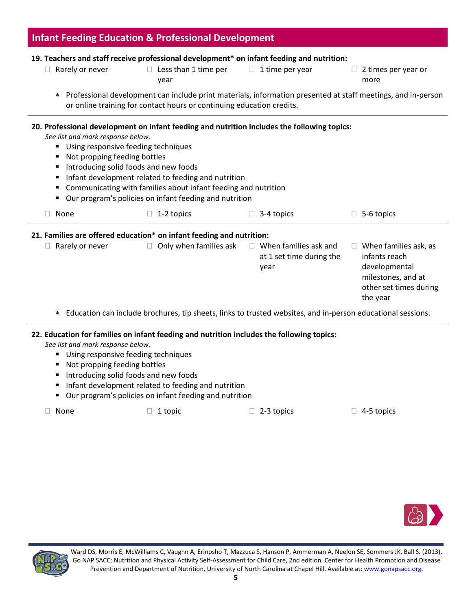| <b>Infant Feeding Education &amp; Professional Development</b><br>19. Teachers and staff receive professional development* on infant feeding and nutrition: |                                                                                                                                                                                                                                                                                                                                                                |                                                                  |                                                                                                                            |  |  |  |  |
|-------------------------------------------------------------------------------------------------------------------------------------------------------------|----------------------------------------------------------------------------------------------------------------------------------------------------------------------------------------------------------------------------------------------------------------------------------------------------------------------------------------------------------------|------------------------------------------------------------------|----------------------------------------------------------------------------------------------------------------------------|--|--|--|--|
|                                                                                                                                                             |                                                                                                                                                                                                                                                                                                                                                                |                                                                  |                                                                                                                            |  |  |  |  |
| $\ast$                                                                                                                                                      | Professional development can include print materials, information presented at staff meetings, and in-person<br>or online training for contact hours or continuing education credits.                                                                                                                                                                          |                                                                  |                                                                                                                            |  |  |  |  |
| See list and mark response below.<br>٠<br>Not propping feeding bottles<br>٠<br>٠<br>٠<br>٠<br>٠                                                             | 20. Professional development on infant feeding and nutrition includes the following topics:<br>Using responsive feeding techniques<br>Introducing solid foods and new foods<br>Infant development related to feeding and nutrition<br>Communicating with families about infant feeding and nutrition<br>Our program's policies on infant feeding and nutrition |                                                                  |                                                                                                                            |  |  |  |  |
| None<br>П                                                                                                                                                   | 1-2 topics                                                                                                                                                                                                                                                                                                                                                     | 3-4 topics                                                       | $\Box$ 5-6 topics                                                                                                          |  |  |  |  |
|                                                                                                                                                             | 21. Families are offered education* on infant feeding and nutrition:                                                                                                                                                                                                                                                                                           |                                                                  |                                                                                                                            |  |  |  |  |
| $\Box$ Rarely or never                                                                                                                                      | $\Box$ Only when families ask                                                                                                                                                                                                                                                                                                                                  | $\Box$ When families ask and<br>at 1 set time during the<br>year | $\Box$ When families ask, as<br>infants reach<br>developmental<br>milestones, and at<br>other set times during<br>the year |  |  |  |  |
| $\ast$                                                                                                                                                      | Education can include brochures, tip sheets, links to trusted websites, and in-person educational sessions.                                                                                                                                                                                                                                                    |                                                                  |                                                                                                                            |  |  |  |  |
| See list and mark response below.<br>٠<br>Not propping feeding bottles<br>٠<br>٠<br>٠<br>٠                                                                  | 22. Education for families on infant feeding and nutrition includes the following topics:<br>Using responsive feeding techniques<br>Introducing solid foods and new foods<br>Infant development related to feeding and nutrition<br>Our program's policies on infant feeding and nutrition                                                                     |                                                                  |                                                                                                                            |  |  |  |  |